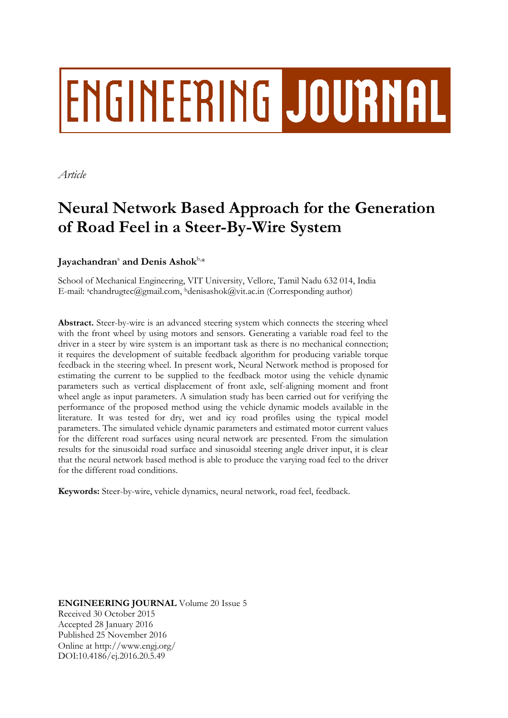# **ENGINEERING JOURNAL**

*Article*

## **Neural Network Based Approach for the Generation of Road Feel in a Steer-By-Wire System**

### Jayachandran<sup>a</sup> and Denis Ashok $^{\text{b},\ast}$

School of Mechanical Engineering, VIT University, Vellore, Tamil Nadu 632 014, India E-mail: achandrugtec@gmail.com, <sup>b</sup>denisashok@vit.ac.in (Corresponding author)

**Abstract.** Steer-by-wire is an advanced steering system which connects the steering wheel with the front wheel by using motors and sensors. Generating a variable road feel to the driver in a steer by wire system is an important task as there is no mechanical connection; it requires the development of suitable feedback algorithm for producing variable torque feedback in the steering wheel. In present work, Neural Network method is proposed for estimating the current to be supplied to the feedback motor using the vehicle dynamic parameters such as vertical displacement of front axle, self-aligning moment and front wheel angle as input parameters. A simulation study has been carried out for verifying the performance of the proposed method using the vehicle dynamic models available in the literature. It was tested for dry, wet and icy road profiles using the typical model parameters. The simulated vehicle dynamic parameters and estimated motor current values for the different road surfaces using neural network are presented. From the simulation results for the sinusoidal road surface and sinusoidal steering angle driver input, it is clear that the neural network based method is able to produce the varying road feel to the driver for the different road conditions.

**Keywords:** Steer-by-wire, vehicle dynamics, neural network, road feel, feedback.

**ENGINEERING JOURNAL** Volume 20 Issue 5 Received 30 October 2015 Accepted 28 January 2016 Published 25 November 2016 Online at http://www.engj.org/ DOI:10.4186/ej.2016.20.5.49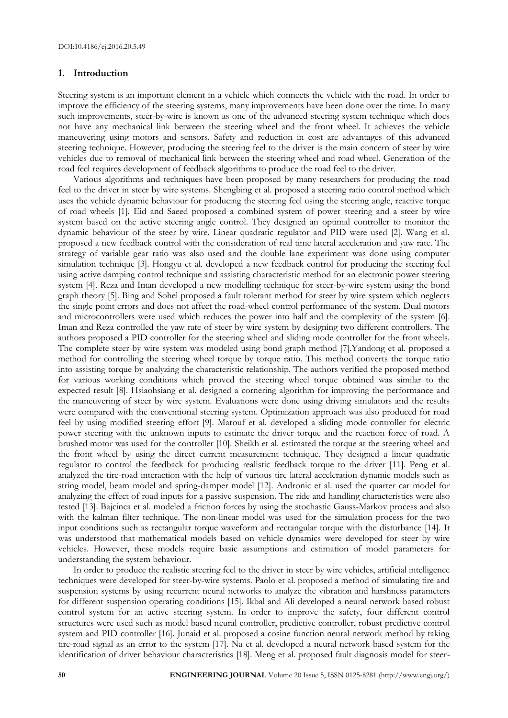#### **1. Introduction**

Steering system is an important element in a vehicle which connects the vehicle with the road. In order to improve the efficiency of the steering systems, many improvements have been done over the time. In many such improvements, steer-by-wire is known as one of the advanced steering system technique which does not have any mechanical link between the steering wheel and the front wheel. It achieves the vehicle maneuvering using motors and sensors. Safety and reduction in cost are advantages of this advanced steering technique. However, producing the steering feel to the driver is the main concern of steer by wire vehicles due to removal of mechanical link between the steering wheel and road wheel. Generation of the road feel requires development of feedback algorithms to produce the road feel to the driver.

Various algorithms and techniques have been proposed by many researchers for producing the road feel to the driver in steer by wire systems. Shengbing et al. proposed a steering ratio control method which uses the vehicle dynamic behaviour for producing the steering feel using the steering angle, reactive torque of road wheels [1]. Eid and Saeed proposed a combined system of power steering and a steer by wire system based on the active steering angle control. They designed an optimal controller to monitor the dynamic behaviour of the steer by wire. Linear quadratic regulator and PID were used [2]. Wang et al. proposed a new feedback control with the consideration of real time lateral acceleration and yaw rate. The strategy of variable gear ratio was also used and the double lane experiment was done using computer simulation technique [3]. Hongyu et al. developed a new feedback control for producing the steering feel using active damping control technique and assisting characteristic method for an electronic power steering system [4]. Reza and Iman developed a new modelling technique for steer-by-wire system using the bond graph theory [5]. Bing and Sohel proposed a fault tolerant method for steer by wire system which neglects the single point errors and does not affect the road-wheel control performance of the system. Dual motors and microcontrollers were used which reduces the power into half and the complexity of the system [6]. Iman and Reza controlled the yaw rate of steer by wire system by designing two different controllers. The authors proposed a PID controller for the steering wheel and sliding mode controller for the front wheels. The complete steer by wire system was modeled using bond graph method [7].Yandong et al. proposed a method for controlling the steering wheel torque by torque ratio. This method converts the torque ratio into assisting torque by analyzing the characteristic relationship. The authors verified the proposed method for various working conditions which proved the steering wheel torque obtained was similar to the expected result [8]. Hsiaohsiang et al. designed a cornering algorithm for improving the performance and the maneuvering of steer by wire system. Evaluations were done using driving simulators and the results were compared with the conventional steering system. Optimization approach was also produced for road feel by using modified steering effort [9]. Marouf et al. developed a sliding mode controller for electric power steering with the unknown inputs to estimate the driver torque and the reaction force of road. A brushed motor was used for the controller [10]. Sheikh et al. estimated the torque at the steering wheel and the front wheel by using the direct current measurement technique. They designed a linear quadratic regulator to control the feedback for producing realistic feedback torque to the driver [11]. Peng et al. analyzed the tire-road interaction with the help of various tire lateral acceleration dynamic models such as string model, beam model and spring-damper model [12]. Andronic et al. used the quarter car model for analyzing the effect of road inputs for a passive suspension. The ride and handling characteristics were also tested [13]. Bajcinca et al. modeled a friction forces by using the stochastic Gauss-Markov process and also with the kalman filter technique. The non-linear model was used for the simulation process for the two input conditions such as rectangular torque waveform and rectangular torque with the disturbance [14]. It was understood that mathematical models based on vehicle dynamics were developed for steer by wire vehicles. However, these models require basic assumptions and estimation of model parameters for understanding the system behaviour.

In order to produce the realistic steering feel to the driver in steer by wire vehicles, artificial intelligence techniques were developed for steer-by-wire systems. Paolo et al. proposed a method of simulating tire and suspension systems by using recurrent neural networks to analyze the vibration and harshness parameters for different suspension operating conditions [15]. Ikbal and Ali developed a neural network based robust control system for an active steering system. In order to improve the safety, four different control structures were used such as model based neural controller, predictive controller, robust predictive control system and PID controller [16]. Junaid et al. proposed a cosine function neural network method by taking tire-road signal as an error to the system [17]. Na et al. developed a neural network based system for the identification of driver behaviour characteristics [18]. Meng et al. proposed fault diagnosis model for steer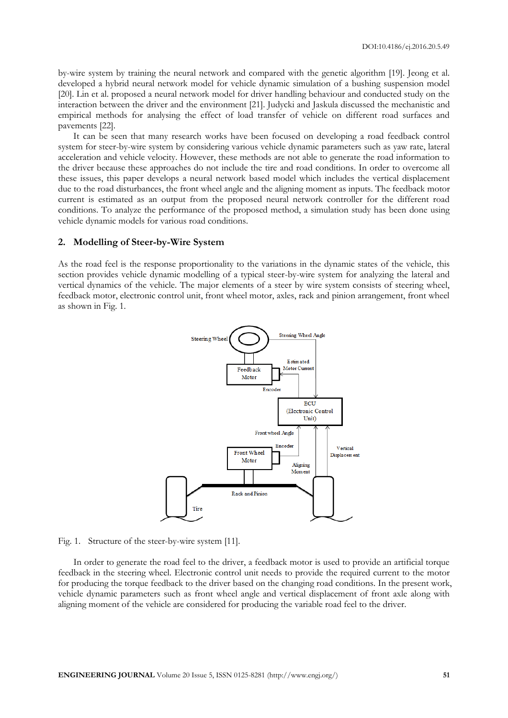by-wire system by training the neural network and compared with the genetic algorithm [19]. Jeong et al. developed a hybrid neural network model for vehicle dynamic simulation of a bushing suspension model [20]. Lin et al. proposed a neural network model for driver handling behaviour and conducted study on the interaction between the driver and the environment [21]. Judycki and Jaskula discussed the mechanistic and empirical methods for analysing the effect of load transfer of vehicle on different road surfaces and pavements [22].

It can be seen that many research works have been focused on developing a road feedback control system for steer-by-wire system by considering various vehicle dynamic parameters such as yaw rate, lateral acceleration and vehicle velocity. However, these methods are not able to generate the road information to the driver because these approaches do not include the tire and road conditions. In order to overcome all these issues, this paper develops a neural network based model which includes the vertical displacement due to the road disturbances, the front wheel angle and the aligning moment as inputs. The feedback motor current is estimated as an output from the proposed neural network controller for the different road conditions. To analyze the performance of the proposed method, a simulation study has been done using vehicle dynamic models for various road conditions.

#### **2. Modelling of Steer-by-Wire System**

As the road feel is the response proportionality to the variations in the dynamic states of the vehicle, this section provides vehicle dynamic modelling of a typical steer-by-wire system for analyzing the lateral and vertical dynamics of the vehicle. The major elements of a steer by wire system consists of steering wheel, feedback motor, electronic control unit, front wheel motor, axles, rack and pinion arrangement, front wheel as shown in Fig. 1.



Fig. 1. Structure of the steer-by-wire system [11].

In order to generate the road feel to the driver, a feedback motor is used to provide an artificial torque feedback in the steering wheel. Electronic control unit needs to provide the required current to the motor for producing the torque feedback to the driver based on the changing road conditions. In the present work, vehicle dynamic parameters such as front wheel angle and vertical displacement of front axle along with aligning moment of the vehicle are considered for producing the variable road feel to the driver.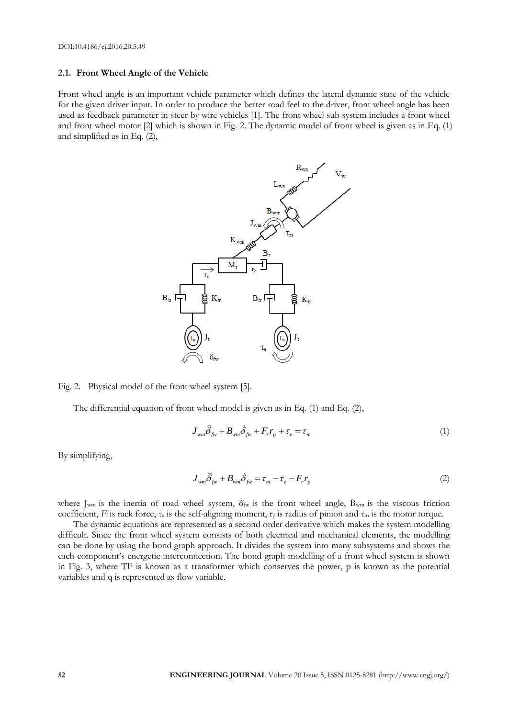#### **2.1. Front Wheel Angle of the Vehicle**

Front wheel angle is an important vehicle parameter which defines the lateral dynamic state of the vehicle for the given driver input. In order to produce the better road feel to the driver, front wheel angle has been used as feedback parameter in steer by wire vehicles [1]. The front wheel sub system includes a front wheel and front wheel motor [2] which is shown in Fig. 2. The dynamic model of front wheel is given as in Eq. (1) and simplified as in Eq. (2),



Fig. 2. Physical model of the front wheel system [5].

The differential equation of front wheel model is given as in Eq. (1) and Eq. (2),

$$
J_{wm}\ddot{\delta}_{fw} + B_{wm}\dot{\delta}_{fw} + F_r r_p + \tau_e = \tau_m
$$
\n(1)

By simplifying,

$$
J_{wm}\ddot{\delta}_{fw} + B_{wm}\dot{\delta}_{fw} = \tau_m - \tau_e - F_r r_p
$$
\n(2)

where J<sub>wm</sub> is the inertia of road wheel system,  $\delta_{fw}$  is the front wheel angle, B<sub>wm</sub> is the viscous friction coefficient, *F<sub>r</sub>* is rack force,  $\tau_e$  is the self-aligning moment,  $\tau_p$  is radius of pinion and  $\tau_m$  is the motor torque.

The dynamic equations are represented as a second order derivative which makes the system modelling difficult. Since the front wheel system consists of both electrical and mechanical elements, the modelling can be done by using the bond graph approach. It divides the system into many subsystems and shows the each component's energetic interconnection. The bond graph modelling of a front wheel system is shown in Fig. 3, where TF is known as a transformer which conserves the power, p is known as the potential variables and q is represented as flow variable.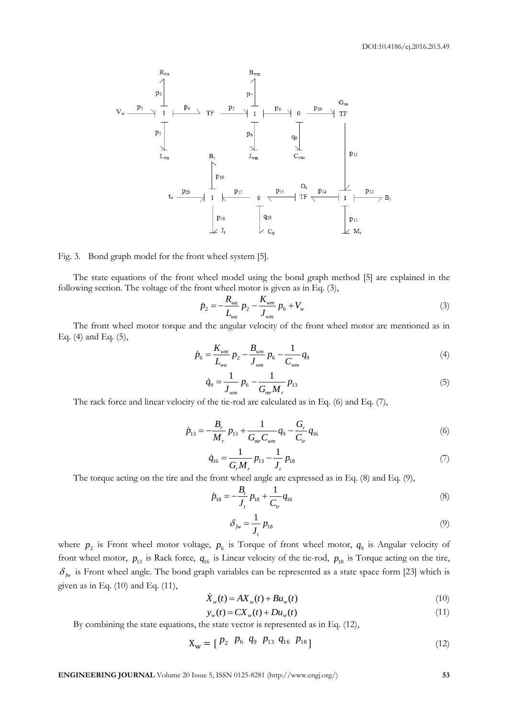

#### Fig. 3. Bond graph model for the front wheel system [5].

The state equations of the front wheel model using the bond graph method [5] are explained in the following section. The voltage of the front wheel motor is given as in Eq. (3),<br>  $\dot{p}_2 = -\frac{R_{wa}}{I} p_2 - \frac{K_{wm}}{I} p_6 + V_w$ 

$$
\dot{p}_2 = -\frac{R_{wa}}{L_{wa}} p_2 - \frac{K_{wm}}{J_{wm}} p_6 + V_w \tag{3}
$$

The front wheel motor torque and the angular velocity of the front wheel motor are mentioned as in Eq. (4) and Eq. (5),

$$
\dot{p}_6 = \frac{K_{wm}}{L_{wa}} p_2 - \frac{B_{wm}}{J_{wm}} p_6 - \frac{1}{C_{wm}} q_9 \tag{4}
$$

$$
\dot{q}_9 = \frac{1}{J_{wm}} p_6 - \frac{1}{G_{mr} M_r} p_{13} \tag{5}
$$

The rack force and linear velocity of the tie-rod are calculated as in Eq. (6) and Eq. (7),

$$
\dot{p}_{13} = -\frac{B_r}{M_r} p_{13} + \frac{1}{G_{mr} C_{wm}} q_9 - \frac{G_r}{C_{tr}} q_{16}
$$
\n(6)

$$
\dot{q}_{16} = \frac{1}{G_r M_r} p_{13} - \frac{1}{J_t} p_{18} \tag{7}
$$

The torque acting on the tire and the front wheel angle are expressed as in Eq. (8) and Eq. (9),

$$
\dot{p}_{18} = -\frac{B_t}{J_t} p_{18} + \frac{1}{C_{tr}} q_{16}
$$
\n(8)

$$
\delta_{f_W} = \frac{1}{J_t} p_{18} \tag{9}
$$

where  $p_2$  is Front wheel motor voltage,  $p_6$  is Torque of front wheel motor,  $q_9$  is Angular velocity of front wheel motor,  $p_{13}$  is Rack force,  $q_{16}$  is Linear velocity of the tie-rod,  $p_{18}$  is Torque acting on the tire,  $\delta_{fw}$  is Front wheel angle. The bond graph variables can be represented as a state space form [23] which is given as in Eq.  $(10)$  and Eq.  $(11)$ ,

$$
\dot{X}_w(t) = AX_w(t) + Bu_w(t)
$$
\n(10)

$$
y_w(t) = CX_w(t) + Du_w(t)
$$
\n(11)

By combining the state equations, the state vector is represented as in Eq. (12),

$$
X_w = [P_2 \ P_6 \ q_9 \ P_{13} \ q_{16} \ P_{18}] \tag{12}
$$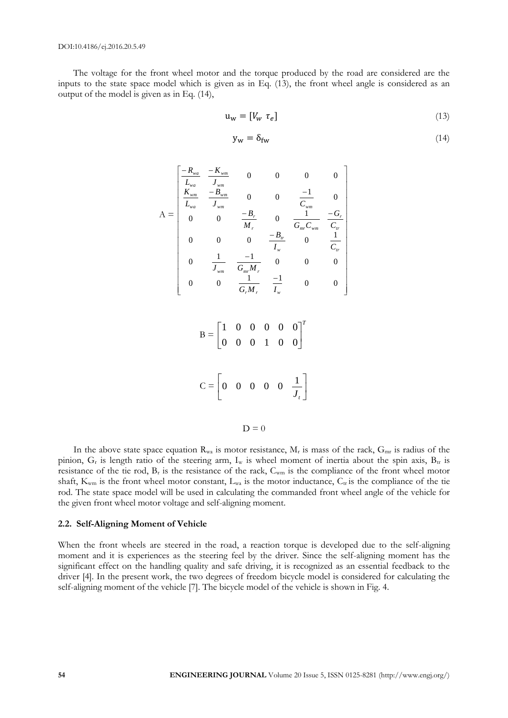The voltage for the front wheel motor and the torque produced by the road are considered are the inputs to the state space model which is given as in Eq. (13), the front wheel angle is considered as an output of the model is given as in Eq. (14),

$$
\mathbf{u}_{\mathbf{w}} = [V_{\mathbf{w}} \ \tau_e] \tag{13}
$$

$$
y_w = \delta_{fw} \tag{14}
$$

$$
A = \begin{bmatrix} \frac{-R_{wa}}{L_{wa}} & \frac{-K_{wm}}{J_{wm}} & 0 & 0 & 0 & 0\\ \frac{K_{wm}}{L_{wa}} & \frac{-B_{wm}}{J_{wm}} & 0 & 0 & \frac{-1}{C_{wm}} & 0\\ 0 & 0 & \frac{-B_r}{M_r} & 0 & \frac{1}{G_{mv}C_{wm}} & \frac{-G_r}{C_r}\\ 0 & 0 & 0 & \frac{-B_w}{I_w} & 0 & \frac{1}{C_w}\\ 0 & \frac{1}{J_{wm}} & \frac{-1}{G_{mv}M_r} & 0 & 0 & 0\\ 0 & 0 & \frac{1}{G_rM_r} & \frac{-1}{I_w} & 0 & 0 & 0 \end{bmatrix}
$$

| $B = \begin{bmatrix} 1 & 0 & 0 & 0 & 0 & 0 \\ 0 & 0 & 0 & 1 & 0 & 0 \end{bmatrix}^T$ |  |  |  |
|--------------------------------------------------------------------------------------|--|--|--|
| $C = \left[ \begin{matrix} 0 & 0 & 0 & 0 & 0 & \frac{1}{J_t} \end{matrix} \right]$   |  |  |  |

 $D = 0$ 

In the above state space equation  $R_{wa}$  is motor resistance,  $M_r$  is mass of the rack,  $G_{mr}$  is radius of the pinion,  $G_r$  is length ratio of the steering arm,  $I_w$  is wheel moment of inertia about the spin axis,  $B_{tr}$  is resistance of the tie rod,  $B_r$  is the resistance of the rack,  $C_{wm}$  is the compliance of the front wheel motor shaft,  $K_{wm}$  is the front wheel motor constant,  $L_{wa}$  is the motor inductance,  $C_{tr}$  is the compliance of the tie rod. The state space model will be used in calculating the commanded front wheel angle of the vehicle for the given front wheel motor voltage and self-aligning moment.

#### **2.2. Self-Aligning Moment of Vehicle**

When the front wheels are steered in the road, a reaction torque is developed due to the self-aligning moment and it is experiences as the steering feel by the driver. Since the self-aligning moment has the significant effect on the handling quality and safe driving, it is recognized as an essential feedback to the driver [4]. In the present work, the two degrees of freedom bicycle model is considered for calculating the self-aligning moment of the vehicle [7]. The bicycle model of the vehicle is shown in Fig. 4.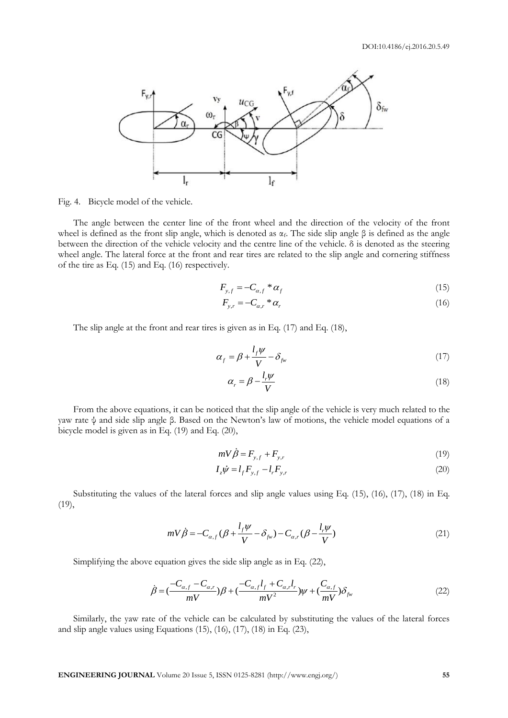

Fig. 4. Bicycle model of the vehicle.

The angle between the center line of the front wheel and the direction of the velocity of the front wheel is defined as the front slip angle, which is denoted as  $α<sub>f</sub>$ . The side slip angle β is defined as the angle between the direction of the vehicle velocity and the centre line of the vehicle.  $\delta$  is denoted as the steering wheel angle. The lateral force at the front and rear tires are related to the slip angle and cornering stiffness of the tire as Eq. (15) and Eq. (16) respectively.

$$
F_{y,f} = -C_{\alpha,f} * \alpha_f \tag{15}
$$

$$
F_{y,r} = -C_{\alpha,r} * \alpha_r \tag{16}
$$

The slip angle at the front and rear tires is given as in Eq. (17) and Eq. (18),

$$
\alpha_f = \beta + \frac{l_f \psi}{V} - \delta_{fw} \tag{17}
$$

$$
\alpha_r = \beta - \frac{l_r \psi}{V} \tag{18}
$$

From the above equations, it can be noticed that the slip angle of the vehicle is very much related to the yaw rate ψ and side slip angle β. Based on the Newton's law of motions, the vehicle model equations of a bicycle model is given as in Eq. (19) and Eq. (20),

$$
mV\dot{\beta} = F_{y,f} + F_{y,r} \tag{19}
$$

$$
I_z \dot{\psi} = l_f F_{y,f} - l_r F_{y,r}
$$
\n(20)

Substituting the values of the lateral forces and slip angle values using Eq. (15), (16), (17), (18) in Eq. (19),

$$
mV\dot{\beta} = -C_{\alpha,f}(\beta + \frac{l_f\psi}{V} - \delta_{f^{\psi}}) - C_{\alpha,r}(\beta - \frac{l_r\psi}{V})
$$
\n(21)

Simplifying the above equation gives the side slip angle as in Eq. (22),  
\n
$$
\dot{\beta} = \left(\frac{-C_{a,f} - C_{a,r}}{mV}\right)\beta + \left(\frac{-C_{a,f}l_f + C_{a,r}l_r}{mV^2}\right)\psi + \left(\frac{C_{a,f}}{mV}\right)\delta_{fw}
$$
\n(22)

Similarly, the yaw rate of the vehicle can be calculated by substituting the values of the lateral forces and slip angle values using Equations  $(15)$ ,  $(16)$ ,  $(17)$ ,  $(18)$  in Eq.  $(23)$ ,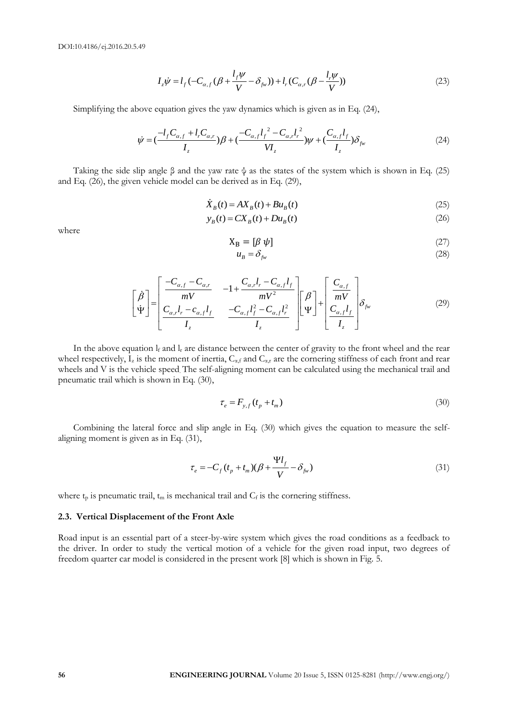$$
I_z \dot{\psi} = l_f \left( -C_{\alpha,f} \left( \beta + \frac{l_f \psi}{V} - \delta_{fw} \right) \right) + l_r \left( C_{\alpha,r} \left( \beta - \frac{l_r \psi}{V} \right) \right)
$$
(23)

Simplifying the above equation gives the yaw dynamics which is given as in Eq. (24),  
\n
$$
\dot{\psi} = \left(\frac{-l_f C_{\alpha,f} + l_r C_{\alpha,r}}{I_z}\right)\beta + \left(\frac{-C_{\alpha,f}l_f^2 - C_{\alpha,r}l_r^2}{VI_z}\right)\psi + \left(\frac{C_{\alpha,f}l_f}{I_z}\right)\delta_{f_w}
$$
\n(24)

Taking the side slip angle  $\beta$  and the yaw rate  $\psi$  as the states of the system which is shown in Eq. (25) and Eq. (26), the given vehicle model can be derived as in Eq. (29),

$$
\dot{X}_B(t) = AX_B(t) + Bu_B(t)
$$
\n(25)

$$
y_B(t) = CX_B(t) + Du_B(t)
$$
 (26)

where

$$
X_{B} = [\beta \psi] \tag{27}
$$

$$
u_B = \delta_{f_W} \tag{28}
$$

$$
u_{B} - o_{f_{\mathcal{W}}}
$$
\n
$$
\left[\begin{array}{c}\n\dot{\beta} \\
\dot{\Psi}\n\end{array}\right] = \left[\begin{array}{ccc}\n-C_{\alpha,f} - C_{\alpha,r} & -1 + \frac{C_{\alpha,r}l_{r} - C_{\alpha,f}l_{f}}{mV^{2}} \\
\frac{C_{\alpha,r}l_{r} - c_{\alpha,f}l_{f}}{I_{z}} & \frac{-C_{\alpha,f}l_{f}^{2} - C_{\alpha,f}l_{r}^{2}}{I_{z}}\n\end{array}\right] \left[\begin{array}{c}\n\beta \\
\Psi\n\end{array}\right] + \left[\begin{array}{c}\n\frac{C_{\alpha,f}}{mV} \\
\frac{C_{\alpha,f}l_{f}}{I_{z}}\n\end{array}\right] \delta_{f_{\mathcal{W}}}
$$
\n(29)

In the above equation  $l_f$  and  $l_r$  are distance between the center of gravity to the front wheel and the rear wheel respectively,  $I_z$  is the moment of inertia,  $C_{\alpha,f}$  and  $C_{\alpha,f}$  are the cornering stiffness of each front and rear wheels and V is the vehicle speed. The self-aligning moment can be calculated using the mechanical trail and pneumatic trail which is shown in Eq. (30),

$$
\tau_e = F_{y,f} \left( t_p + t_m \right) \tag{30}
$$

Combining the lateral force and slip angle in Eq. (30) which gives the equation to measure the selfaligning moment is given as in Eq. (31),

$$
\tau_e = -C_f (t_p + t_m)(\beta + \frac{\Psi l_f}{V} - \delta_{fw})
$$
\n(31)

where  $t_p$  is pneumatic trail,  $t_m$  is mechanical trail and  $C_f$  is the cornering stiffness.

#### **2.3. Vertical Displacement of the Front Axle**

Road input is an essential part of a steer-by-wire system which gives the road conditions as a feedback to the driver. In order to study the vertical motion of a vehicle for the given road input, two degrees of freedom quarter car model is considered in the present work [8] which is shown in Fig. 5.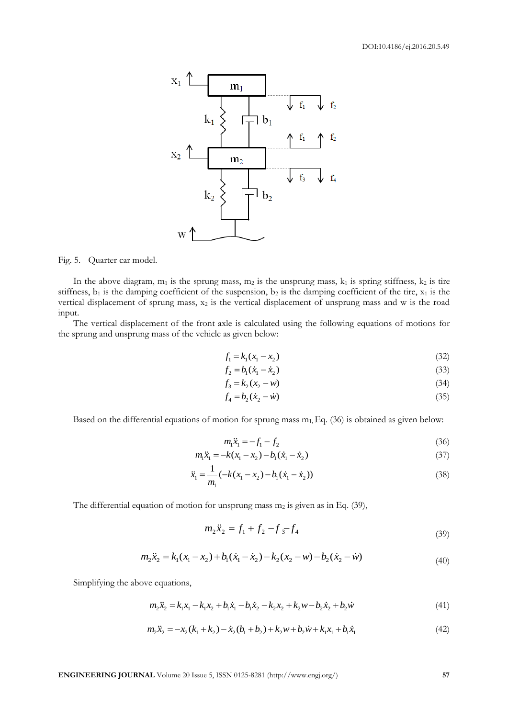

Fig. 5. Quarter car model.

In the above diagram,  $m_1$  is the sprung mass,  $m_2$  is the unsprung mass,  $k_1$  is spring stiffness,  $k_2$  is tire stiffness,  $b_1$  is the damping coefficient of the suspension,  $b_2$  is the damping coefficient of the tire,  $x_1$  is the vertical displacement of sprung mass, x<sub>2</sub> is the vertical displacement of unsprung mass and w is the road input.

The vertical displacement of the front axle is calculated using the following equations of motions for the sprung and unsprung mass of the vehicle as given below:

$$
f_1 = k_1(x_1 - x_2) \tag{32}
$$

$$
f_2 = b_1(\dot{x}_1 - \dot{x}_2) \tag{33}
$$

$$
f_3 = k_2(x_2 - w)
$$
 (34)

$$
f_4 = b_2(\dot{x}_2 - \dot{w})
$$
\n(35)

Based on the differential equations of motion for sprung mass  $m_1$ , Eq. (36) is obtained as given below:

$$
m_1 \ddot{x}_1 = -f_1 - f_2 \tag{36}
$$

$$
m_1 \ddot{x}_1 = -k(x_1 - x_2) - b_1(\dot{x}_1 - \dot{x}_2)
$$
\n(37)

$$
\ddot{x}_1 = \frac{1}{m_1} (-k(x_1 - x_2) - b_1(\dot{x}_1 - \dot{x}_2))
$$
\n(38)

The differential equation of motion for unsprung mass  $m_2$  is given as in Eq. (39),

$$
m_2\ddot{x}_2 = f_1 + f_2 - f_3 - f_4\tag{39}
$$

$$
m_2\ddot{x}_2 = k_1(x_1 - x_2) + b_1(\dot{x}_1 - \dot{x}_2) - k_2(x_2 - w) - b_2(\dot{x}_2 - \dot{w})\tag{40}
$$

Simplifying the above equations,

re equations,  
\n
$$
m_2\ddot{x}_2 = k_1x_1 - k_1x_2 + b_1\dot{x}_1 - b_1\dot{x}_2 - k_2x_2 + k_2w - b_2\dot{x}_2 + b_2\dot{w}
$$
\n(41)

$$
m_2x_2 = k_1x_1 - k_1x_2 + b_1x_1 - b_1x_2 - k_2x_2 + k_2w - b_2x_2 + b_2w
$$
  
\n
$$
m_2\ddot{x}_2 = -x_2(k_1 + k_2) - \dot{x}_2(b_1 + b_2) + k_2w + b_2\dot{w} + k_1x_1 + b_1\dot{x}_1
$$
\n(42)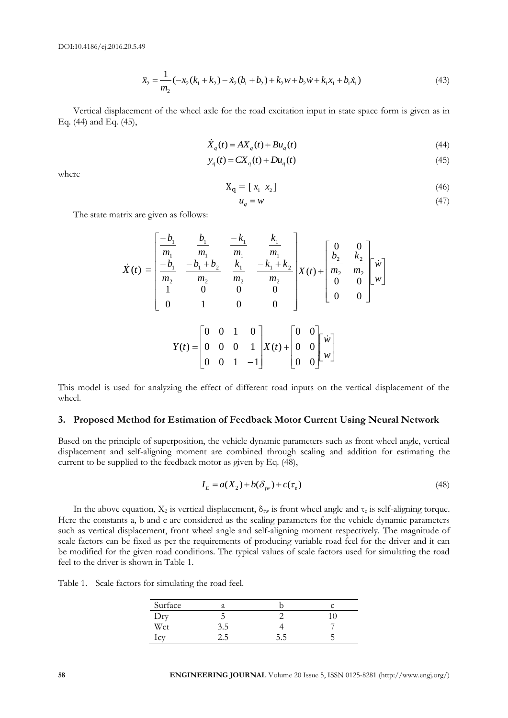DOI:10.4186/ej.2016.20.5.49

$$
\ddot{x}_2 = \frac{1}{m_2}(-x_2(k_1 + k_2) - \dot{x}_2(b_1 + b_2) + k_2w + b_2\dot{w} + k_1x_1 + b_1\dot{x}_1)
$$
\n(43)

Vertical displacement of the wheel axle for the road excitation input in state space form is given as in Eq. (44) and Eq. (45),

$$
\dot{X}_q(t) = AX_q(t) + Bu_q(t)
$$
\n(44)

$$
y_q(t) = CX_q(t) + Du_q(t)
$$
\n(45)

where

$$
\mathbf{X}_{\mathbf{q}} = [x_1 \ x_2] \tag{46}
$$

$$
u_q = w \tag{47}
$$

The state matrix are given as follows:

$$
\dot{X}(t) = \begin{bmatrix} -b_1 & b_1 & -k_1 & k_1 \\ m_1 & m_1 & m_1 & m_1 \\ \frac{-b_1}{m_2} & \frac{-b_1 + b_2}{m_2} & \frac{k_1}{m_2} & \frac{-k_1 + k_2}{m_2} \\ 1 & 0 & 0 & 0 \\ 0 & 1 & 0 & 0 \end{bmatrix} X(t) + \begin{bmatrix} 0 & 0 \\ b_2 & k_2 \\ m_2 & m_2 \\ 0 & 0 \end{bmatrix} \begin{bmatrix} \dot{w} \\ \dot{w} \end{bmatrix}
$$

$$
Y(t) = \begin{bmatrix} 0 & 0 & 1 & 0 \\ 0 & 0 & 0 & 1 \\ 0 & 0 & 1 & -1 \end{bmatrix} X(t) + \begin{bmatrix} 0 & 0 \\ 0 & 0 & 0 \\ 0 & 0 & 0 \end{bmatrix} \begin{bmatrix} \dot{w} \\ \dot{w} \end{bmatrix}
$$

This model is used for analyzing the effect of different road inputs on the vertical displacement of the wheel.

#### **3. Proposed Method for Estimation of Feedback Motor Current Using Neural Network**

Based on the principle of superposition, the vehicle dynamic parameters such as front wheel angle, vertical displacement and self-aligning moment are combined through scaling and addition for estimating the current to be supplied to the feedback motor as given by Eq. (48),

$$
I_E = a(X_2) + b(\delta_{f_W}) + c(\tau_e)
$$
\n(48)

In the above equation,  $X_2$  is vertical displacement,  $\delta_{fw}$  is front wheel angle and  $\tau_e$  is self-aligning torque. Here the constants a, b and c are considered as the scaling parameters for the vehicle dynamic parameters such as vertical displacement, front wheel angle and self-aligning moment respectively. The magnitude of scale factors can be fixed as per the requirements of producing variable road feel for the driver and it can be modified for the given road conditions. The typical values of scale factors used for simulating the road feel to the driver is shown in Table 1.

Table 1. Scale factors for simulating the road feel.

| Surface        | a     |     |  |
|----------------|-------|-----|--|
| Dry            |       |     |  |
| Wet            | 3.5   |     |  |
| 1 <sup>C</sup> | ے ، ک | 5.S |  |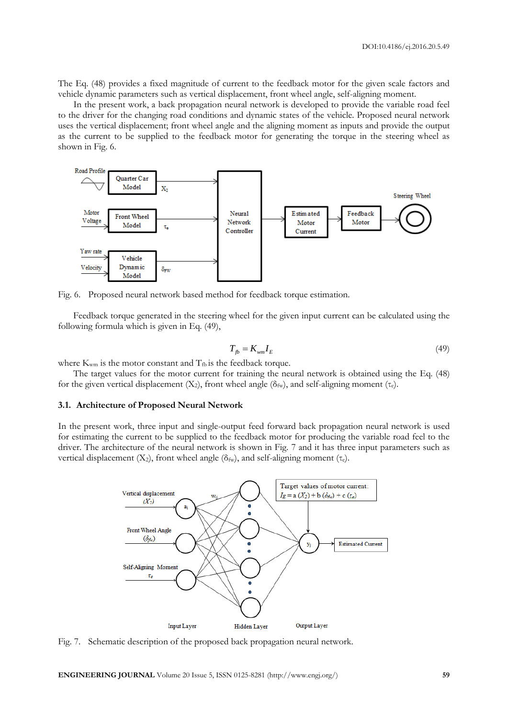The Eq. (48) provides a fixed magnitude of current to the feedback motor for the given scale factors and vehicle dynamic parameters such as vertical displacement, front wheel angle, self-aligning moment.

In the present work, a back propagation neural network is developed to provide the variable road feel to the driver for the changing road conditions and dynamic states of the vehicle. Proposed neural network uses the vertical displacement; front wheel angle and the aligning moment as inputs and provide the output as the current to be supplied to the feedback motor for generating the torque in the steering wheel as shown in Fig. 6.



Fig. 6. Proposed neural network based method for feedback torque estimation.

Feedback torque generated in the steering wheel for the given input current can be calculated using the following formula which is given in Eq. (49),

$$
T_{fb} = K_{wm} I_E \tag{49}
$$

where  $K_{wm}$  is the motor constant and  $T_{fb}$  is the feedback torque.

The target values for the motor current for training the neural network is obtained using the Eq. (48) for the given vertical displacement  $(X_2)$ , front wheel angle  $(\delta_{fw})$ , and self-aligning moment  $(\tau_e)$ .

#### **3.1. Architecture of Proposed Neural Network**

In the present work, three input and single-output feed forward back propagation neural network is used for estimating the current to be supplied to the feedback motor for producing the variable road feel to the driver. The architecture of the neural network is shown in Fig. 7 and it has three input parameters such as vertical displacement (X<sub>2</sub>), front wheel angle ( $\delta_{fw}$ ), and self-aligning moment (τ<sub>e</sub>).



Fig. 7. Schematic description of the proposed back propagation neural network.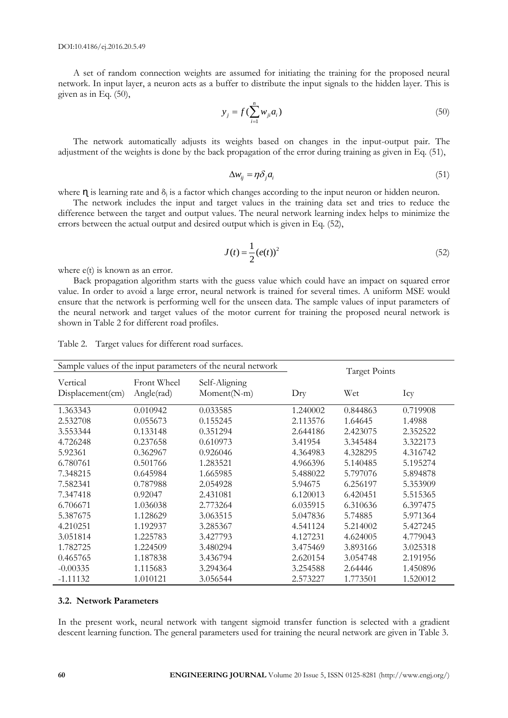A set of random connection weights are assumed for initiating the training for the proposed neural network. In input layer, a neuron acts as a buffer to distribute the input signals to the hidden layer. This is given as in Eq. (50),

$$
y_j = f(\sum_{i=1}^n w_{ji} a_i)
$$
 (50)

The network automatically adjusts its weights based on changes in the input-output pair. The adjustment of the weights is done by the back propagation of the error during training as given in Eq. (51),

$$
\Delta w_{ij} = \eta \delta_j a_i \tag{51}
$$

where  $\eta$  is learning rate and  $\delta_i$  is a factor which changes according to the input neuron or hidden neuron.

The network includes the input and target values in the training data set and tries to reduce the difference between the target and output values. The neural network learning index helps to minimize the errors between the actual output and desired output which is given in Eq. (52),

$$
J(t) = \frac{1}{2} (e(t))^2
$$
 (52)

where  $e(t)$  is known as an error.

Back propagation algorithm starts with the guess value which could have an impact on squared error value. In order to avoid a large error, neural network is trained for several times. A uniform MSE would ensure that the network is performing well for the unseen data. The sample values of input parameters of the neural network and target values of the motor current for training the proposed neural network is shown in Table 2 for different road profiles.

| Sample values of the input parameters of the neural network | <b>Target Points</b> |               |          |          |          |
|-------------------------------------------------------------|----------------------|---------------|----------|----------|----------|
| Vertical                                                    | Front Wheel          | Self-Aligning |          |          |          |
| $Displacement$ (cm)                                         | Angle(rad)           | $Moment(N-m)$ | Dry      | Wet      | Icy      |
|                                                             |                      |               |          |          |          |
| 1.363343                                                    | 0.010942             | 0.033585      | 1.240002 | 0.844863 | 0.719908 |
| 2.532708                                                    | 0.055673             | 0.155245      | 2.113576 | 1.64645  | 1.4988   |
| 3.553344                                                    | 0.133148             | 0.351294      | 2.644186 | 2.423075 | 2.352522 |
| 4.726248                                                    | 0.237658             | 0.610973      | 3.41954  | 3.345484 | 3.322173 |
| 5.92361                                                     | 0.362967             | 0.926046      | 4.364983 | 4.328295 | 4.316742 |
| 6.780761                                                    | 0.501766             | 1.283521      | 4.966396 | 5.140485 | 5.195274 |
| 7.348215                                                    | 0.645984             | 1.665985      | 5.488022 | 5.797076 | 5.894878 |
| 7.582341                                                    | 0.787988             | 2.054928      | 5.94675  | 6.256197 | 5.353909 |
| 7.347418                                                    | 0.92047              | 2.431081      | 6.120013 | 6.420451 | 5.515365 |
| 6.706671                                                    | 1.036038             | 2.773264      | 6.035915 | 6.310636 | 6.397475 |
| 5.387675                                                    | 1.128629             | 3.063515      | 5.047836 | 5.74885  | 5.971364 |
| 4.210251                                                    | 1.192937             | 3.285367      | 4.541124 | 5.214002 | 5.427245 |
| 3.051814                                                    | 1.225783             | 3.427793      | 4.127231 | 4.624005 | 4.779043 |
| 1.782725                                                    | 1.224509             | 3.480294      | 3.475469 | 3.893166 | 3.025318 |
| 0.465765                                                    | 1.187838             | 3.436794      | 2.620154 | 3.054748 | 2.191956 |
| $-0.00335$                                                  | 1.115683             | 3.294364      | 3.254588 | 2.64446  | 1.450896 |
| $-1.11132$                                                  | 1.010121             | 3.056544      | 2.573227 | 1.773501 | 1.520012 |

Table 2. Target values for different road surfaces.

#### **3.2. Network Parameters**

In the present work, neural network with tangent sigmoid transfer function is selected with a gradient descent learning function. The general parameters used for training the neural network are given in Table 3.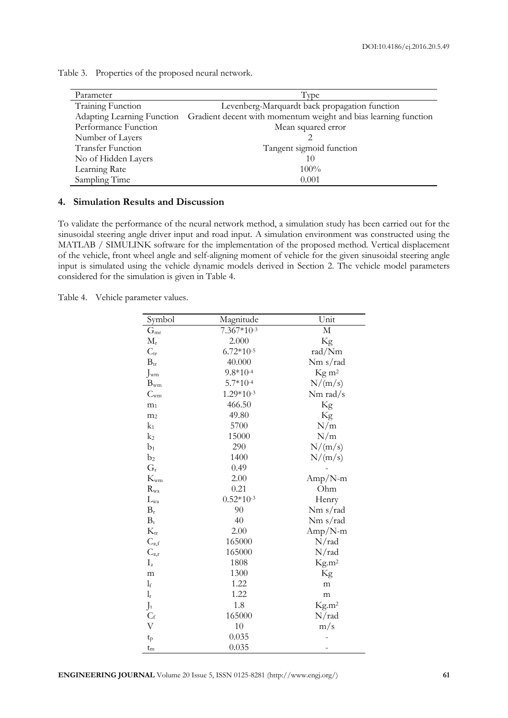| Parameter                  | Type                                                            |
|----------------------------|-----------------------------------------------------------------|
| Training Function          | Levenberg-Marquardt back propagation function                   |
| Adapting Learning Function | Gradient decent with momentum weight and bias learning function |
| Performance Function       | Mean squared error                                              |
| Number of Layers           |                                                                 |
| <b>Transfer Function</b>   | Tangent sigmoid function                                        |
| No of Hidden Layers        | 10                                                              |
| Learning Rate              | $100\%$                                                         |
| Sampling Time              | 0.001                                                           |

Table 3. Properties of the proposed neural network.

#### **4. Simulation Results and Discussion**

To validate the performance of the neural network method, a simulation study has been carried out for the sinusoidal steering angle driver input and road input. A simulation environment was constructed using the MATLAB / SIMULINK software for the implementation of the proposed method. Vertical displacement of the vehicle, front wheel angle and self-aligning moment of vehicle for the given sinusoidal steering angle input is simulated using the vehicle dynamic models derived in Section 2. The vehicle model parameters considered for the simulation is given in Table 4.

Table 4. Vehicle parameter values.

| Symbol                  | Magnitude    | Unit                    |
|-------------------------|--------------|-------------------------|
| $G_{\rm mr}$            | $7.367*10-3$ | $\mathbf M$             |
| $M_{\rm r}$             | 2.000        | Kg                      |
| $C_{tr}$                | $6.72*10-5$  | rad/Nm                  |
| $B_{\rm tr}$            | 40.000       | Nm s/rad                |
| $J_{wm}$                | $9.8*10-4$   | $\text{Kg} \text{ m}^2$ |
| $B_{wm}$                | $5.7*10-4$   | N/(m/s)                 |
| $C_{\rm{wm}}$           | $1.29*10-3$  | Nm rad/s                |
| m <sub>1</sub>          | 466.50       | Kg                      |
| m <sub>2</sub>          | 49.80        | $\rm Kg$                |
| $k_1$                   | 5700         | N/m                     |
| $k_2$                   | 15000        | N/m                     |
| $b_1$                   | 290          | N/(m/s)                 |
| b <sub>2</sub>          | 1400         | N/(m/s)                 |
| $G_{r}$                 | 0.49         |                         |
| $K_{\rm w m}$           | 2.00         | $Amp/N-m$               |
| $R_{\rm wa}$            | 0.21         | Ohm                     |
| $L_{\rm wa}$            | $0.52*10-3$  | Henry                   |
| $B_r$                   | 90           | Nm s/rad                |
| $B_t$                   | 40           | Nm s/rad                |
| $K_{tr}$                | 2.00         | Amp/N-m                 |
| $C_{\alpha,f}$          | 165000       | N/rad                   |
| $C_{\alpha,r}$          | 165000       | N/rad                   |
| $I_{z}$                 | 1808         | Kg.m <sup>2</sup>       |
| m                       | 1300         | Kg                      |
| $l_{\rm f}$             | 1.22         | m                       |
| $\mathbf{l}_\mathrm{r}$ | 1.22         | m                       |
| $J_t$                   | 1.8          | Kg.m <sup>2</sup>       |
| $C_f$                   | 165000       | N/rad                   |
| $\rm V$                 | 10           | m/s                     |
| $t_{p}$                 | 0.035        |                         |
| $t_{\rm m}$             | 0.035        |                         |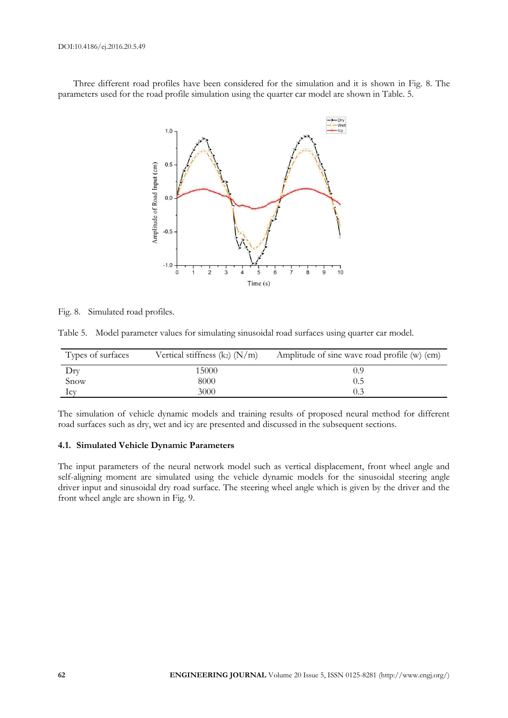Three different road profiles have been considered for the simulation and it is shown in Fig. 8. The parameters used for the road profile simulation using the quarter car model are shown in Table. 5.



|  |  | Fig. 8. Simulated road profiles. |  |  |
|--|--|----------------------------------|--|--|
|--|--|----------------------------------|--|--|

Table 5. Model parameter values for simulating sinusoidal road surfaces using quarter car model.

| Types of surfaces | Vertical stiffness $(k_2)$ $(N/m)$ | Amplitude of sine wave road profile (w) (cm) |
|-------------------|------------------------------------|----------------------------------------------|
| Dry               | 15000                              | 0.9                                          |
| Snow              | 8000                               | 0.5                                          |
| 1 <sub>cv</sub>   | 3000                               |                                              |

The simulation of vehicle dynamic models and training results of proposed neural method for different road surfaces such as dry, wet and icy are presented and discussed in the subsequent sections.

#### **4.1. Simulated Vehicle Dynamic Parameters**

The input parameters of the neural network model such as vertical displacement, front wheel angle and self-aligning moment are simulated using the vehicle dynamic models for the sinusoidal steering angle driver input and sinusoidal dry road surface. The steering wheel angle which is given by the driver and the front wheel angle are shown in Fig. 9.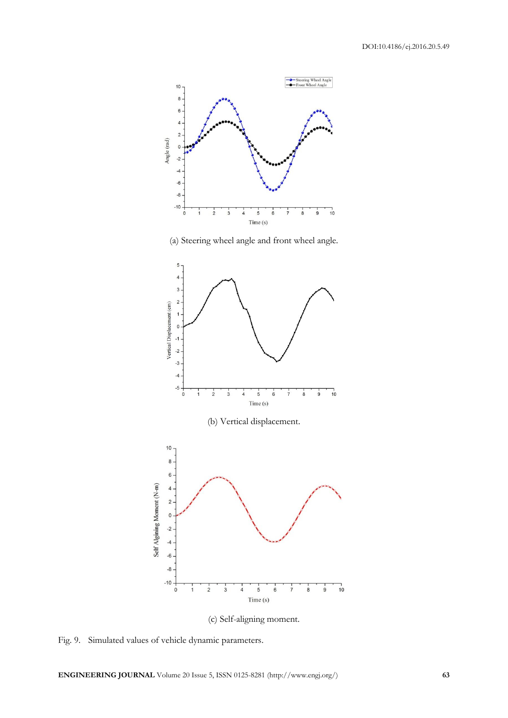

(a) Steering wheel angle and front wheel angle.



(c) Self-aligning moment.

Fig. 9. Simulated values of vehicle dynamic parameters.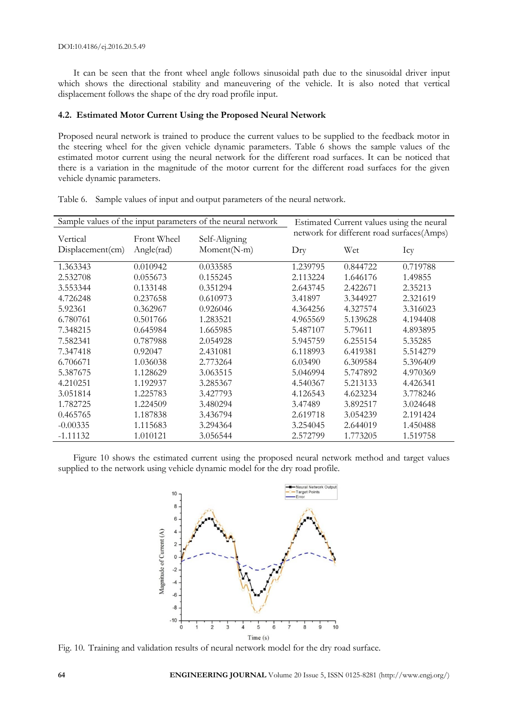It can be seen that the front wheel angle follows sinusoidal path due to the sinusoidal driver input which shows the directional stability and maneuvering of the vehicle. It is also noted that vertical displacement follows the shape of the dry road profile input.

#### **4.2. Estimated Motor Current Using the Proposed Neural Network**

Proposed neural network is trained to produce the current values to be supplied to the feedback motor in the steering wheel for the given vehicle dynamic parameters. Table 6 shows the sample values of the estimated motor current using the neural network for the different road surfaces. It can be noticed that there is a variation in the magnitude of the motor current for the different road surfaces for the given vehicle dynamic parameters.

| Sample values of the input parameters of the neural network |             | Estimated Current values using the neural |                                           |          |          |
|-------------------------------------------------------------|-------------|-------------------------------------------|-------------------------------------------|----------|----------|
| Vertical                                                    | Front Wheel | Self-Aligning                             | network for different road surfaces(Amps) |          |          |
| Displacement(cm)                                            | Angle(rad)  | Moment(N-m)                               | $_{\rm{Dry}}$                             | Wet      | Icy      |
| 1.363343                                                    | 0.010942    | 0.033585                                  | 1.239795                                  | 0.844722 | 0.719788 |
| 2.532708                                                    | 0.055673    | 0.155245                                  | 2.113224                                  | 1.646176 | 1.49855  |
| 3.553344                                                    | 0.133148    | 0.351294                                  | 2.643745                                  | 2.422671 | 2.35213  |
| 4.726248                                                    | 0.237658    | 0.610973                                  | 3.41897                                   | 3.344927 | 2.321619 |
| 5.92361                                                     | 0.362967    | 0.926046                                  | 4.364256                                  | 4.327574 | 3.316023 |
| 6.780761                                                    | 0.501766    | 1.283521                                  | 4.965569                                  | 5.139628 | 4.194408 |
| 7.348215                                                    | 0.645984    | 1.665985                                  | 5.487107                                  | 5.79611  | 4.893895 |
| 7.582341                                                    | 0.787988    | 2.054928                                  | 5.945759                                  | 6.255154 | 5.35285  |
| 7.347418                                                    | 0.92047     | 2.431081                                  | 6.118993                                  | 6.419381 | 5.514279 |
| 6.706671                                                    | 1.036038    | 2.773264                                  | 6.03490                                   | 6.309584 | 5.396409 |
| 5.387675                                                    | 1.128629    | 3.063515                                  | 5.046994                                  | 5.747892 | 4.970369 |
| 4.210251                                                    | 1.192937    | 3.285367                                  | 4.540367                                  | 5.213133 | 4.426341 |
| 3.051814                                                    | 1.225783    | 3.427793                                  | 4.126543                                  | 4.623234 | 3.778246 |
| 1.782725                                                    | 1.224509    | 3.480294                                  | 3.47489                                   | 3.892517 | 3.024648 |
| 0.465765                                                    | 1.187838    | 3.436794                                  | 2.619718                                  | 3.054239 | 2.191424 |
| $-0.00335$                                                  | 1.115683    | 3.294364                                  | 3.254045                                  | 2.644019 | 1.450488 |
| $-1.11132$                                                  | 1.010121    | 3.056544                                  | 2.572799                                  | 1.773205 | 1.519758 |

|  |  |  | Table 6. Sample values of input and output parameters of the neural network. |  |  |
|--|--|--|------------------------------------------------------------------------------|--|--|
|--|--|--|------------------------------------------------------------------------------|--|--|

Figure 10 shows the estimated current using the proposed neural network method and target values supplied to the network using vehicle dynamic model for the dry road profile.



Fig. 10. Training and validation results of neural network model for the dry road surface.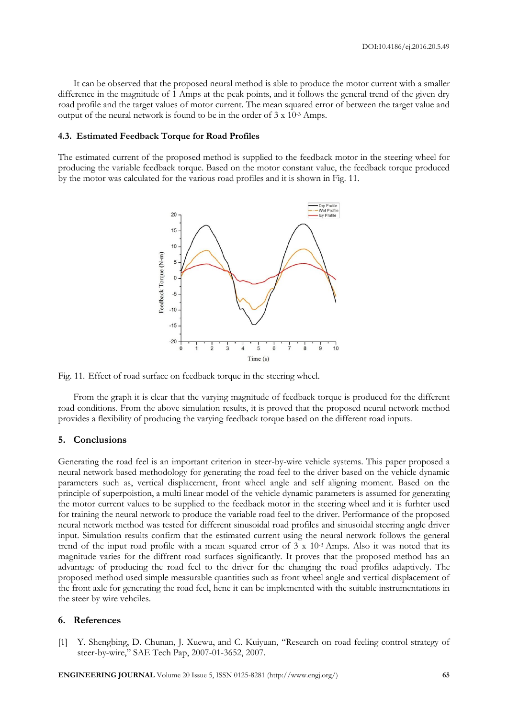It can be observed that the proposed neural method is able to produce the motor current with a smaller difference in the magnitude of 1 Amps at the peak points, and it follows the general trend of the given dry road profile and the target values of motor current. The mean squared error of between the target value and output of the neural network is found to be in the order of 3 x 10-3 Amps.

#### **4.3. Estimated Feedback Torque for Road Profiles**

The estimated current of the proposed method is supplied to the feedback motor in the steering wheel for producing the variable feedback torque. Based on the motor constant value, the feedback torque produced by the motor was calculated for the various road profiles and it is shown in Fig. 11.



Fig. 11. Effect of road surface on feedback torque in the steering wheel.

From the graph it is clear that the varying magnitude of feedback torque is produced for the different road conditions. From the above simulation results, it is proved that the proposed neural network method provides a flexibility of producing the varying feedback torque based on the different road inputs.

#### **5. Conclusions**

Generating the road feel is an important criterion in steer-by-wire vehicle systems. This paper proposed a neural network based methodology for generating the road feel to the driver based on the vehicle dynamic parameters such as, vertical displacement, front wheel angle and self aligning moment. Based on the principle of superpoistion, a multi linear model of the vehicle dynamic parameters is assumed for generating the motor current values to be supplied to the feedback motor in the steering wheel and it is furhter used for training the neural network to produce the variable road feel to the driver. Performance of the proposed neural network method was tested for different sinusoidal road profiles and sinusoidal steering angle driver input. Simulation results confirm that the estimated current using the neural network follows the general trend of the input road profile with a mean squared error of 3 x 10-3 Amps. Also it was noted that its magnitude varies for the diffrent road surfaces significantly. It proves that the proposed method has an advantage of producing the road feel to the driver for the changing the road profiles adaptively. The proposed method used simple measurable quantities such as front wheel angle and vertical displacement of the front axle for generating the road feel, hene it can be implemented with the suitable instrumentations in the steer by wire vehciles.

#### **6. References**

[1] Y. Shengbing, D. Chunan, J. Xuewu, and C. Kuiyuan, "Research on road feeling control strategy of steer-by-wire," SAE Tech Pap, 2007-01-3652, 2007.